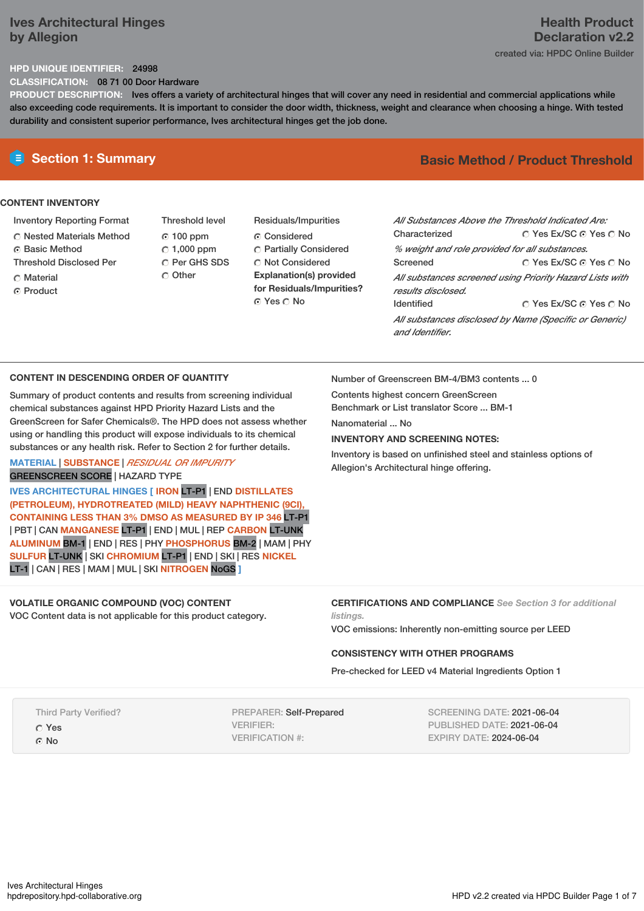# **Ives Architectural Hinges by Allegion**

# **Health Product Declaration v2.2** created via: HPDC Online Builder

## **HPD UNIQUE IDENTIFIER:** 24998

**CLASSIFICATION:** 08 71 00 Door Hardware

**PRODUCT DESCRIPTION:** Ives offers a variety of architectural hinges that will cover any need in residential and commercial applications while also exceeding code requirements. It is important to consider the door width, thickness, weight and clearance when choosing a hinge. With tested durability and consistent superior performance, Ives architectural hinges get the job done.

# **CONTENT INVENTORY**

- Inventory Reporting Format
- Nested Materials Method
- **C** Basic Method
- Threshold Disclosed Per
- C Material
- ⊙ Product
- Threshold level 100 ppm  $C$  1,000 ppm C Per GHS SDS C Other
- Residuals/Impurities Considered Partially Considered C Not Considered **Explanation(s) provided for Residuals/Impurities?** ⊙ Yes O No

# **E** Section 1: Summary **Basic** Method / Product Threshold

| All Substances Above the Threshold Indicated Are:<br>Characterized             | ∩ Yes Ex/SC ∩ Yes ∩ No |  |  |
|--------------------------------------------------------------------------------|------------------------|--|--|
| % weight and role provided for all substances.                                 |                        |  |  |
| Screened                                                                       | ∩ Yes Ex/SC ∩ Yes ∩ No |  |  |
| All substances screened using Priority Hazard Lists with<br>results disclosed. |                        |  |  |
| <b>Identified</b>                                                              | ∩ Yes Ex/SC ∩ Yes ∩ No |  |  |
| All substances disclosed by Name (Specific or Generic)<br>and Identifier.      |                        |  |  |

## **CONTENT IN DESCENDING ORDER OF QUANTITY**

Summary of product contents and results from screening individual chemical substances against HPD Priority Hazard Lists and the GreenScreen for Safer Chemicals®. The HPD does not assess whether using or handling this product will expose individuals to its chemical substances or any health risk. Refer to Section 2 for further details.

## **MATERIAL** | **SUBSTANCE** | *RESIDUAL OR IMPURITY* GREENSCREEN SCORE | HAZARD TYPE

**IVES ARCHITECTURAL HINGES [ IRON** LT-P1 | END **DISTILLATES (PETROLEUM), HYDROTREATED (MILD) HEAVY NAPHTHENIC (9CI), CONTAINING LESS THAN 3% DMSO AS MEASURED BY IP 346** LT-P1 | PBT | CAN **MANGANESE** LT-P1 | END | MUL | REP **CARBON** LT-UNK **ALUMINUM** BM-1 | END | RES | PHY **PHOSPHORUS** BM-2 | MAM | PHY **SULFUR** LT-UNK | SKI **CHROMIUM** LT-P1 | END | SKI | RES **NICKEL** LT-1 | CAN | RES | MAM | MUL | SKI **NITROGEN** NoGS **]**

# **VOLATILE ORGANIC COMPOUND (VOC) CONTENT**

VOC Content data is not applicable for this product category.

Number of Greenscreen BM-4/BM3 contents ... 0

Contents highest concern GreenScreen Benchmark or List translator Score ... BM-1

Nanomaterial No.

# **INVENTORY AND SCREENING NOTES:**

Inventory is based on unfinished steel and stainless options of Allegion's Architectural hinge offering.

## **CERTIFICATIONS AND COMPLIANCE** *See Section 3 for additional listings.*

VOC emissions: Inherently non-emitting source per LEED

# **CONSISTENCY WITH OTHER PROGRAMS**

Pre-checked for LEED v4 Material Ingredients Option 1

Third Party Verified?

Yes

G No

PREPARER: Self-Prepared VERIFIER: VERIFICATION #:

SCREENING DATE: 2021-06-04 PUBLISHED DATE: 2021-06-04 EXPIRY DATE: 2024-06-04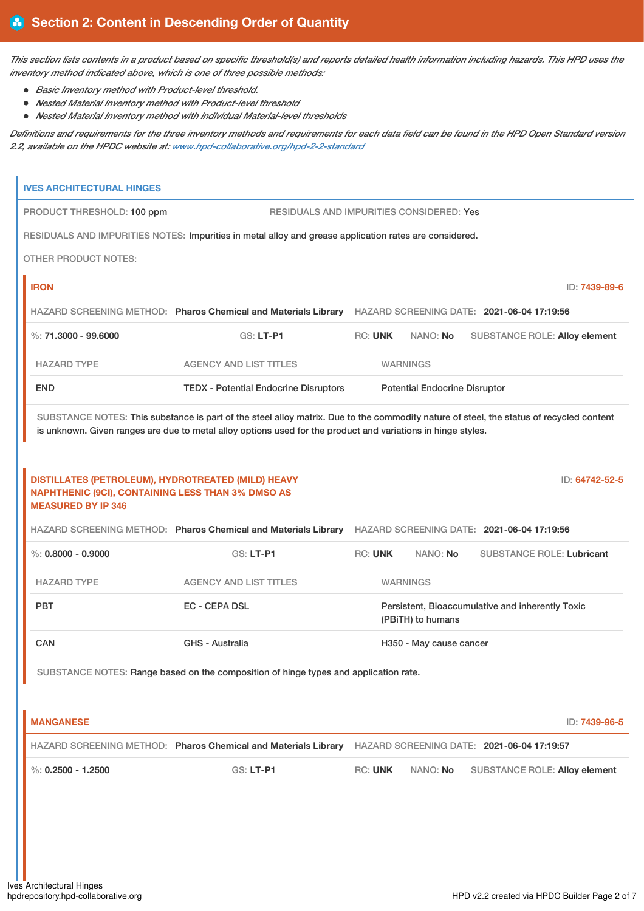This section lists contents in a product based on specific threshold(s) and reports detailed health information including hazards. This HPD uses the *inventory method indicated above, which is one of three possible methods:*

- *Basic Inventory method with Product-level threshold.*
- *Nested Material Inventory method with Product-level threshold*
- *Nested Material Inventory method with individual Material-level thresholds*

Definitions and requirements for the three inventory methods and requirements for each data field can be found in the HPD Open Standard version *2.2, available on the HPDC website at: [www.hpd-collaborative.org/hpd-2-2-standard](https://www.hpd-collaborative.org/hpd-2-2-standard)*

| <b>IVES ARCHITECTURAL HINGES</b>                                                                                                            |                                                                                                                                                                                                                                                         |                 |                                      |                                                  |                |
|---------------------------------------------------------------------------------------------------------------------------------------------|---------------------------------------------------------------------------------------------------------------------------------------------------------------------------------------------------------------------------------------------------------|-----------------|--------------------------------------|--------------------------------------------------|----------------|
| PRODUCT THRESHOLD: 100 ppm                                                                                                                  | <b>RESIDUALS AND IMPURITIES CONSIDERED: Yes</b>                                                                                                                                                                                                         |                 |                                      |                                                  |                |
|                                                                                                                                             | RESIDUALS AND IMPURITIES NOTES: Impurities in metal alloy and grease application rates are considered.                                                                                                                                                  |                 |                                      |                                                  |                |
| <b>OTHER PRODUCT NOTES:</b>                                                                                                                 |                                                                                                                                                                                                                                                         |                 |                                      |                                                  |                |
| <b>IRON</b>                                                                                                                                 |                                                                                                                                                                                                                                                         |                 |                                      |                                                  | ID: 7439-89-6  |
|                                                                                                                                             | HAZARD SCREENING METHOD: Pharos Chemical and Materials Library HAZARD SCREENING DATE: 2021-06-04 17:19:56                                                                                                                                               |                 |                                      |                                                  |                |
| %: $71.3000 - 99.6000$                                                                                                                      | GS: LT-P1                                                                                                                                                                                                                                               | <b>RC: UNK</b>  | NANO: No                             | <b>SUBSTANCE ROLE: Alloy element</b>             |                |
| <b>HAZARD TYPE</b>                                                                                                                          | <b>AGENCY AND LIST TITLES</b>                                                                                                                                                                                                                           | <b>WARNINGS</b> |                                      |                                                  |                |
| <b>END</b>                                                                                                                                  | <b>TEDX - Potential Endocrine Disruptors</b>                                                                                                                                                                                                            |                 | <b>Potential Endocrine Disruptor</b> |                                                  |                |
|                                                                                                                                             | SUBSTANCE NOTES: This substance is part of the steel alloy matrix. Due to the commodity nature of steel, the status of recycled content<br>is unknown. Given ranges are due to metal alloy options used for the product and variations in hinge styles. |                 |                                      |                                                  |                |
| DISTILLATES (PETROLEUM), HYDROTREATED (MILD) HEAVY<br><b>NAPHTHENIC (9CI), CONTAINING LESS THAN 3% DMSO AS</b><br><b>MEASURED BY IP 346</b> |                                                                                                                                                                                                                                                         |                 |                                      |                                                  | ID: 64742-52-5 |
|                                                                                                                                             | HAZARD SCREENING METHOD: Pharos Chemical and Materials Library HAZARD SCREENING DATE: 2021-06-04 17:19:56                                                                                                                                               |                 |                                      |                                                  |                |
| $\%$ : 0.8000 - 0.9000                                                                                                                      | GS: LT-P1                                                                                                                                                                                                                                               | <b>RC: UNK</b>  | NANO: No                             | <b>SUBSTANCE ROLE: Lubricant</b>                 |                |
| <b>HAZARD TYPE</b>                                                                                                                          | <b>AGENCY AND LIST TITLES</b>                                                                                                                                                                                                                           | <b>WARNINGS</b> |                                      |                                                  |                |
| <b>PBT</b>                                                                                                                                  | <b>EC - CEPA DSL</b>                                                                                                                                                                                                                                    |                 | (PBiTH) to humans                    | Persistent, Bioaccumulative and inherently Toxic |                |
| <b>CAN</b>                                                                                                                                  | GHS - Australia                                                                                                                                                                                                                                         |                 | H350 - May cause cancer              |                                                  |                |
|                                                                                                                                             | SUBSTANCE NOTES: Range based on the composition of hinge types and application rate.                                                                                                                                                                    |                 |                                      |                                                  |                |
| <b>MANGANESE</b>                                                                                                                            |                                                                                                                                                                                                                                                         |                 |                                      |                                                  | ID: 7439-96-5  |
|                                                                                                                                             | HAZARD SCREENING METHOD: Pharos Chemical and Materials Library HAZARD SCREENING DATE: 2021-06-04 17:19:57                                                                                                                                               |                 |                                      |                                                  |                |
| %: $0.2500 - 1.2500$                                                                                                                        | GS: LT-P1                                                                                                                                                                                                                                               | <b>RC: UNK</b>  | NANO: No                             | <b>SUBSTANCE ROLE: Alloy element</b>             |                |
|                                                                                                                                             |                                                                                                                                                                                                                                                         |                 |                                      |                                                  |                |
|                                                                                                                                             |                                                                                                                                                                                                                                                         |                 |                                      |                                                  |                |
|                                                                                                                                             |                                                                                                                                                                                                                                                         |                 |                                      |                                                  |                |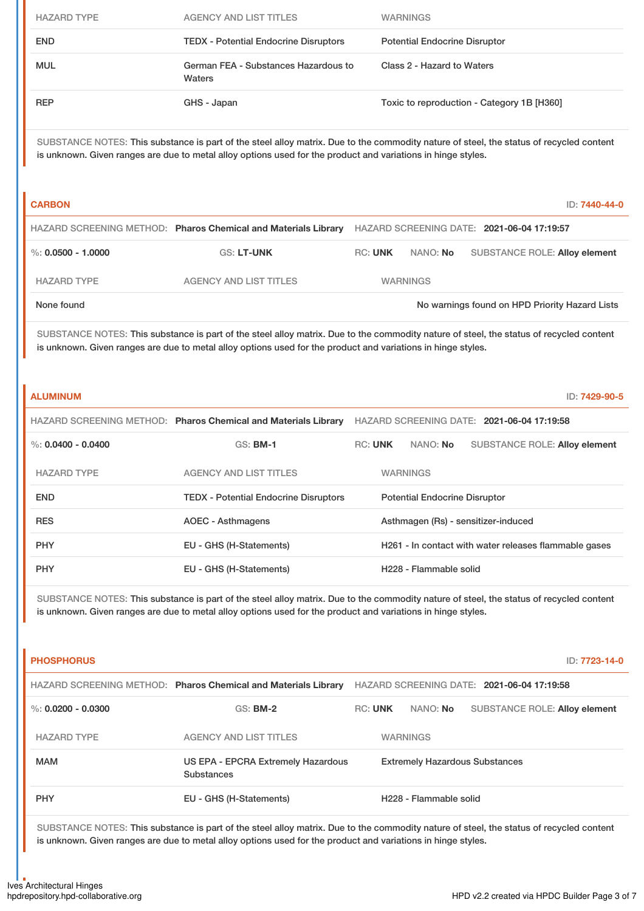| <b>HAZARD TYPE</b>     | <b>AGENCY AND LIST TITLES</b>                                                                                | <b>WARNINGS</b>                                                                                                                                          |
|------------------------|--------------------------------------------------------------------------------------------------------------|----------------------------------------------------------------------------------------------------------------------------------------------------------|
| <b>END</b>             | <b>TEDX - Potential Endocrine Disruptors</b>                                                                 | <b>Potential Endocrine Disruptor</b>                                                                                                                     |
| <b>MUL</b>             | German FEA - Substances Hazardous to<br>Waters                                                               | Class 2 - Hazard to Waters                                                                                                                               |
| <b>REP</b>             | GHS - Japan                                                                                                  | Toxic to reproduction - Category 1B [H360]                                                                                                               |
|                        | is unknown. Given ranges are due to metal alloy options used for the product and variations in hinge styles. | SUBSTANCE NOTES: This substance is part of the steel alloy matrix. Due to the commodity nature of steel, the status of recycled content                  |
| <b>CARBON</b>          |                                                                                                              | ID: 7440-44-0                                                                                                                                            |
|                        | HAZARD SCREENING METHOD: Pharos Chemical and Materials Library                                               | HAZARD SCREENING DATE: 2021-06-04 17:19:57                                                                                                               |
| $\%$ : 0.0500 - 1.0000 | <b>GS: LT-UNK</b>                                                                                            | <b>RC: UNK</b><br>NANO: No<br><b>SUBSTANCE ROLE: Alloy element</b>                                                                                       |
| <b>HAZARD TYPE</b>     | <b>AGENCY AND LIST TITLES</b>                                                                                | <b>WARNINGS</b>                                                                                                                                          |
| None found             |                                                                                                              | No warnings found on HPD Priority Hazard Lists                                                                                                           |
| <b>ALUMINUM</b>        | is unknown. Given ranges are due to metal alloy options used for the product and variations in hinge styles. | SUBSTANCE NOTES: This substance is part of the steel alloy matrix. Due to the commodity nature of steel, the status of recycled content<br>ID: 7429-90-5 |
|                        |                                                                                                              | HAZARD SCREENING METHOD: Pharos Chemical and Materials Library HAZARD SCREENING DATE: 2021-06-04 17:19:58                                                |
| %: $0.0400 - 0.0400$   | <b>GS: BM-1</b>                                                                                              | <b>RC: UNK</b><br>NANO: No<br><b>SUBSTANCE ROLE: Alloy element</b>                                                                                       |
| <b>HAZARD TYPE</b>     | <b>AGENCY AND LIST TITLES</b>                                                                                | <b>WARNINGS</b>                                                                                                                                          |
| <b>END</b>             | <b>TEDX - Potential Endocrine Disruptors</b>                                                                 | <b>Potential Endocrine Disruptor</b>                                                                                                                     |
| RES                    | <b>AOEC - Asthmagens</b>                                                                                     | Asthmagen (Rs) - sensitizer-induced                                                                                                                      |
| <b>PHY</b>             | EU - GHS (H-Statements)                                                                                      | H261 - In contact with water releases flammable gases                                                                                                    |
| <b>PHY</b>             | EU - GHS (H-Statements)                                                                                      | H228 - Flammable solid                                                                                                                                   |
|                        | is unknown. Given ranges are due to metal alloy options used for the product and variations in hinge styles. | SUBSTANCE NOTES: This substance is part of the steel alloy matrix. Due to the commodity nature of steel, the status of recycled content                  |
| <b>PHOSPHORUS</b>      |                                                                                                              | ID: 7723-14-0                                                                                                                                            |
|                        |                                                                                                              | HAZARD SCREENING METHOD: Pharos Chemical and Materials Library HAZARD SCREENING DATE: 2021-06-04 17:19:58                                                |
| $\%$ : 0.0200 - 0.0300 | <b>GS: BM-2</b>                                                                                              | <b>RC: UNK</b><br>NANO: No<br><b>SUBSTANCE ROLE: Alloy element</b>                                                                                       |
| <b>HAZARD TYPE</b>     | <b>AGENCY AND LIST TITLES</b>                                                                                | <b>WARNINGS</b>                                                                                                                                          |
| <b>MAM</b>             | US EPA - EPCRA Extremely Hazardous<br><b>Substances</b>                                                      | <b>Extremely Hazardous Substances</b>                                                                                                                    |

SUBSTANCE NOTES: This substance is part of the steel alloy matrix. Due to the commodity nature of steel, the status of recycled content is unknown. Given ranges are due to metal alloy options used for the product and variations in hinge styles.

PHY **EU - GHS (H-Statements)** H228 - Flammable solid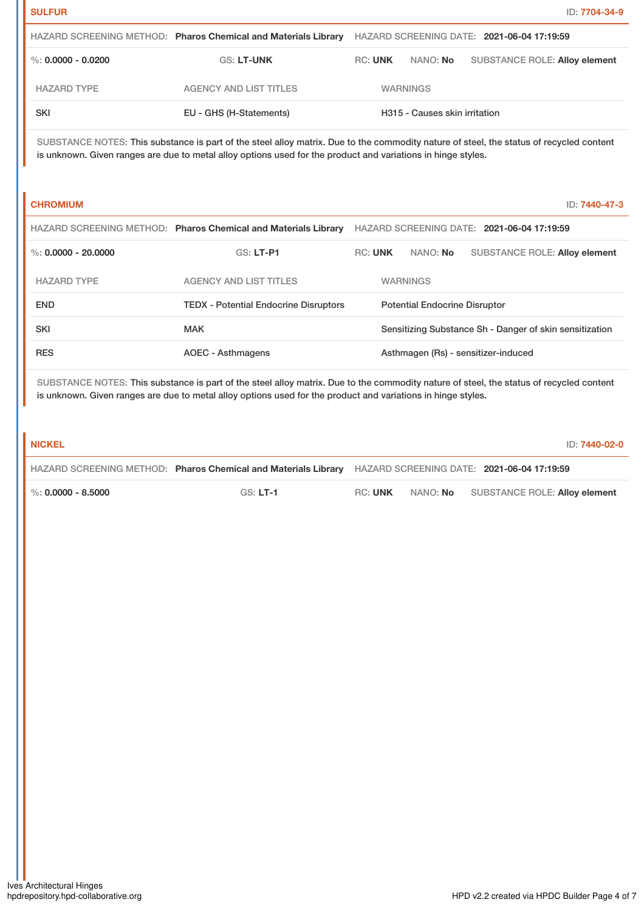|                    | HAZARD SCREENING METHOD: Pharos Chemical and Materials Library |         |                               | HAZARD SCREENING DATE: 2021-06-04 17:19:59 |
|--------------------|----------------------------------------------------------------|---------|-------------------------------|--------------------------------------------|
| %: 0.0000 - 0.0200 | <b>GS: LT-UNK</b>                                              | RC: UNK | NANO: No                      | SUBSTANCE ROLE: Alloy element              |
| <b>HAZARD TYPE</b> | AGENCY AND LIST TITLES                                         |         | <b>WARNINGS</b>               |                                            |
| <b>SKI</b>         | EU - GHS (H-Statements)                                        |         | H315 - Causes skin irritation |                                            |

SUBSTANCE NOTES: This substance is part of the steel alloy matrix. Due to the commodity nature of steel, the status of recycled content is unknown. Given ranges are due to metal alloy options used for the product and variations in hinge styles.

**CHROMIUM** ID: **7440-47-3**

|                       | HAZARD SCREENING METHOD: Pharos Chemical and Materials Library |                |  |                                      | HAZARD SCREENING DATE: 2021-06-04 17:19:59              |
|-----------------------|----------------------------------------------------------------|----------------|--|--------------------------------------|---------------------------------------------------------|
| %: $0.0000 - 20.0000$ | $GS: LT-PI$                                                    | <b>RC: UNK</b> |  | NANO: <b>No</b>                      | <b>SUBSTANCE ROLE: Alloy element</b>                    |
| <b>HAZARD TYPE</b>    | <b>AGENCY AND LIST TITLES</b>                                  |                |  | <b>WARNINGS</b>                      |                                                         |
| <b>END</b>            | <b>TEDX</b> - Potential Endocrine Disruptors                   |                |  | <b>Potential Endocrine Disruptor</b> |                                                         |
| <b>SKI</b>            | <b>MAK</b>                                                     |                |  |                                      | Sensitizing Substance Sh - Danger of skin sensitization |
| <b>RES</b>            | AOEC - Asthmagens                                              |                |  |                                      | Asthmagen (Rs) - sensitizer-induced                     |

SUBSTANCE NOTES: This substance is part of the steel alloy matrix. Due to the commodity nature of steel, the status of recycled content is unknown. Given ranges are due to metal alloy options used for the product and variations in hinge styles.

# **NICKEL** ID: **7440-02-0**

|                        | HAZARD SCREENING METHOD: Pharos Chemical and Materials Library HAZARD SCREENING DATE: 2021-06-04 17:19:59 |         |          |                               |
|------------------------|-----------------------------------------------------------------------------------------------------------|---------|----------|-------------------------------|
| $\%$ : 0.0000 - 8.5000 | $GS: LT-1$                                                                                                | RC: UNK | NANO: No | SUBSTANCE ROLE: Alloy element |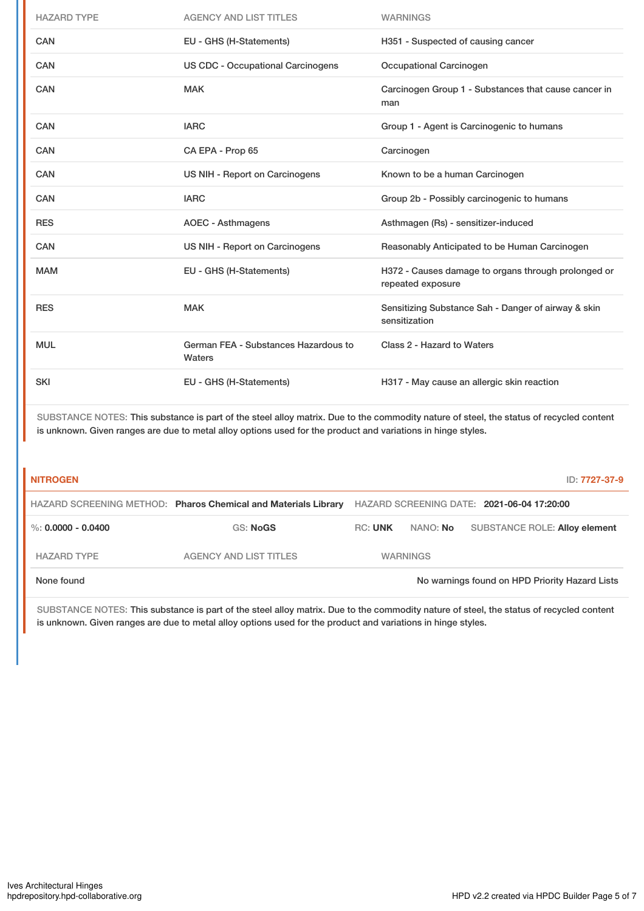| <b>HAZARD TYPE</b> | <b>AGENCY AND LIST TITLES</b>                  | <b>WARNINGS</b>                                                          |
|--------------------|------------------------------------------------|--------------------------------------------------------------------------|
| <b>CAN</b>         | EU - GHS (H-Statements)                        | H351 - Suspected of causing cancer                                       |
| CAN                | <b>US CDC - Occupational Carcinogens</b>       | <b>Occupational Carcinogen</b>                                           |
| <b>CAN</b>         | <b>MAK</b>                                     | Carcinogen Group 1 - Substances that cause cancer in<br>man              |
| <b>CAN</b>         | <b>IARC</b>                                    | Group 1 - Agent is Carcinogenic to humans                                |
| CAN                | CA EPA - Prop 65                               | Carcinogen                                                               |
| <b>CAN</b>         | US NIH - Report on Carcinogens                 | Known to be a human Carcinogen                                           |
| <b>CAN</b>         | <b>IARC</b>                                    | Group 2b - Possibly carcinogenic to humans                               |
| <b>RES</b>         | <b>AOEC - Asthmagens</b>                       | Asthmagen (Rs) - sensitizer-induced                                      |
| <b>CAN</b>         | US NIH - Report on Carcinogens                 | Reasonably Anticipated to be Human Carcinogen                            |
| <b>MAM</b>         | EU - GHS (H-Statements)                        | H372 - Causes damage to organs through prolonged or<br>repeated exposure |
| <b>RES</b>         | <b>MAK</b>                                     | Sensitizing Substance Sah - Danger of airway & skin<br>sensitization     |
| <b>MUL</b>         | German FEA - Substances Hazardous to<br>Waters | Class 2 - Hazard to Waters                                               |
| <b>SKI</b>         | EU - GHS (H-Statements)                        | H317 - May cause an allergic skin reaction                               |

SUBSTANCE NOTES: This substance is part of the steel alloy matrix. Due to the commodity nature of steel, the status of recycled content is unknown. Given ranges are due to metal alloy options used for the product and variations in hinge styles.

| <b>NITROGEN</b>    |                                                                |                |                 | ID: 7727-37-9                                  |
|--------------------|----------------------------------------------------------------|----------------|-----------------|------------------------------------------------|
|                    | HAZARD SCREENING METHOD: Pharos Chemical and Materials Library |                |                 | HAZARD SCREENING DATE: 2021-06-04 17:20:00     |
| %: 0.0000 - 0.0400 | <b>GS: NoGS</b>                                                | <b>RC: UNK</b> | NANO: <b>No</b> | <b>SUBSTANCE ROLE: Alloy element</b>           |
| <b>HAZARD TYPE</b> | AGENCY AND LIST TITLES                                         |                | <b>WARNINGS</b> |                                                |
| None found         |                                                                |                |                 | No warnings found on HPD Priority Hazard Lists |

SUBSTANCE NOTES: This substance is part of the steel alloy matrix. Due to the commodity nature of steel, the status of recycled content is unknown. Given ranges are due to metal alloy options used for the product and variations in hinge styles.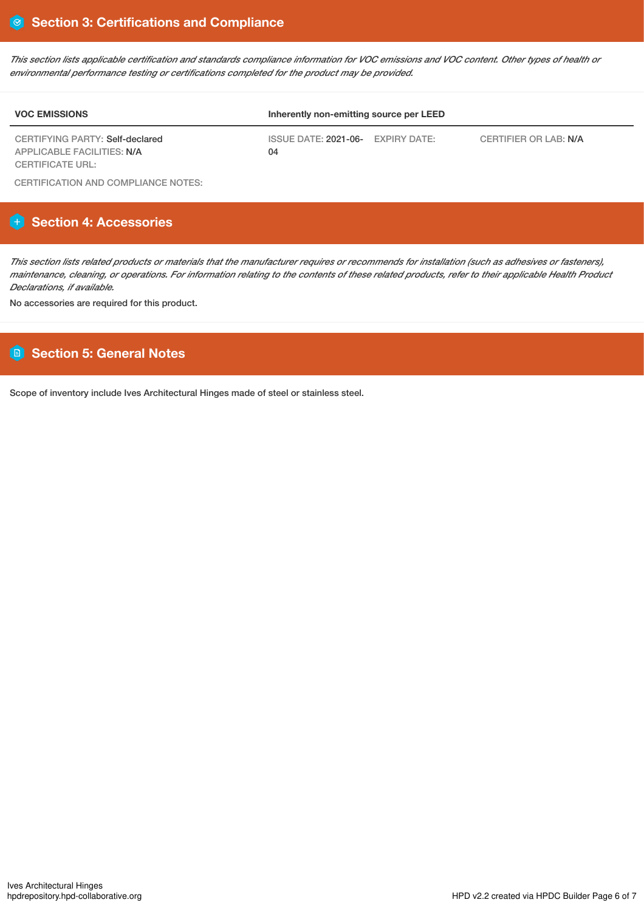This section lists applicable certification and standards compliance information for VOC emissions and VOC content. Other types of health or *environmental performance testing or certifications completed for the product may be provided.*

| <b>VOC EMISSIONS</b>                                          | Inherently non-emitting source per LEED |                       |  |  |
|---------------------------------------------------------------|-----------------------------------------|-----------------------|--|--|
| CERTIFYING PARTY: Self-declared<br>APPLICABLE FACILITIES: N/A | ISSUE DATE: 2021-06- EXPIRY DATE:<br>04 | CERTIFIER OR LAB: N/A |  |  |
| <b>CERTIFICATE URL:</b>                                       |                                         |                       |  |  |

CERTIFICATION AND COMPLIANCE NOTES:

# **Section 4: Accessories**

This section lists related products or materials that the manufacturer requires or recommends for installation (such as adhesives or fasteners), maintenance, cleaning, or operations. For information relating to the contents of these related products, refer to their applicable Health Product *Declarations, if available.*

No accessories are required for this product.

# **Section 5: General Notes**

Scope of inventory include Ives Architectural Hinges made of steel or stainless steel.